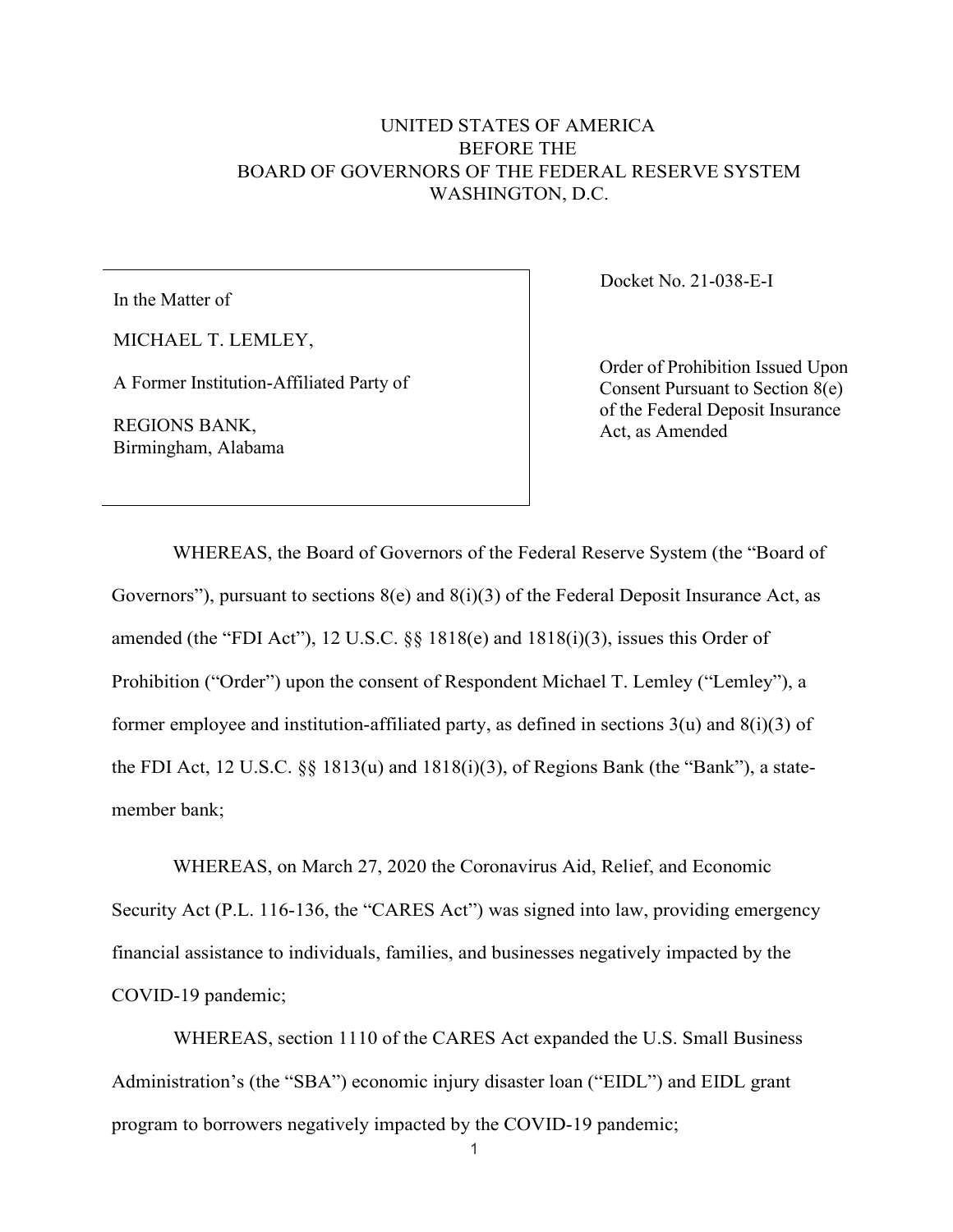## UNITED STATES OF AMERICA BEFORE THE BOARD OF GOVERNORS OF THE FEDERAL RESERVE SYSTEM WASHINGTON, D.C.

In the Matter of

MICHAEL T. LEMLEY,

A Former Institution-Affiliated Party of

REGIONS BANK, Birmingham, Alabama Docket No. 21-038-E-I

Order of Prohibition Issued Upon Consent Pursuant to Section 8(e) of the Federal Deposit Insurance Act, as Amended

WHEREAS, the Board of Governors of the Federal Reserve System (the "Board of Governors"), pursuant to sections  $8(e)$  and  $8(i)(3)$  of the Federal Deposit Insurance Act, as amended (the "FDI Act"), 12 U.S.C. §§ 1818(e) and 1818(i)(3), issues this Order of Prohibition ("Order") upon the consent of Respondent Michael T. Lemley ("Lemley"), a former employee and institution-affiliated party, as defined in sections  $3(u)$  and  $8(i)(3)$  of the FDI Act, 12 U.S.C. §§ 1813(u) and 1818(i)(3), of Regions Bank (the "Bank"), a statemember bank;

WHEREAS, on March 27, 2020 the Coronavirus Aid, Relief, and Economic Security Act (P.L. 116-136, the "CARES Act") was signed into law, providing emergency financial assistance to individuals, families, and businesses negatively impacted by the COVID-19 pandemic;

WHEREAS, section 1110 of the CARES Act expanded the U.S. Small Business Administration's (the "SBA") economic injury disaster loan ("EIDL") and EIDL grant program to borrowers negatively impacted by the COVID-19 pandemic;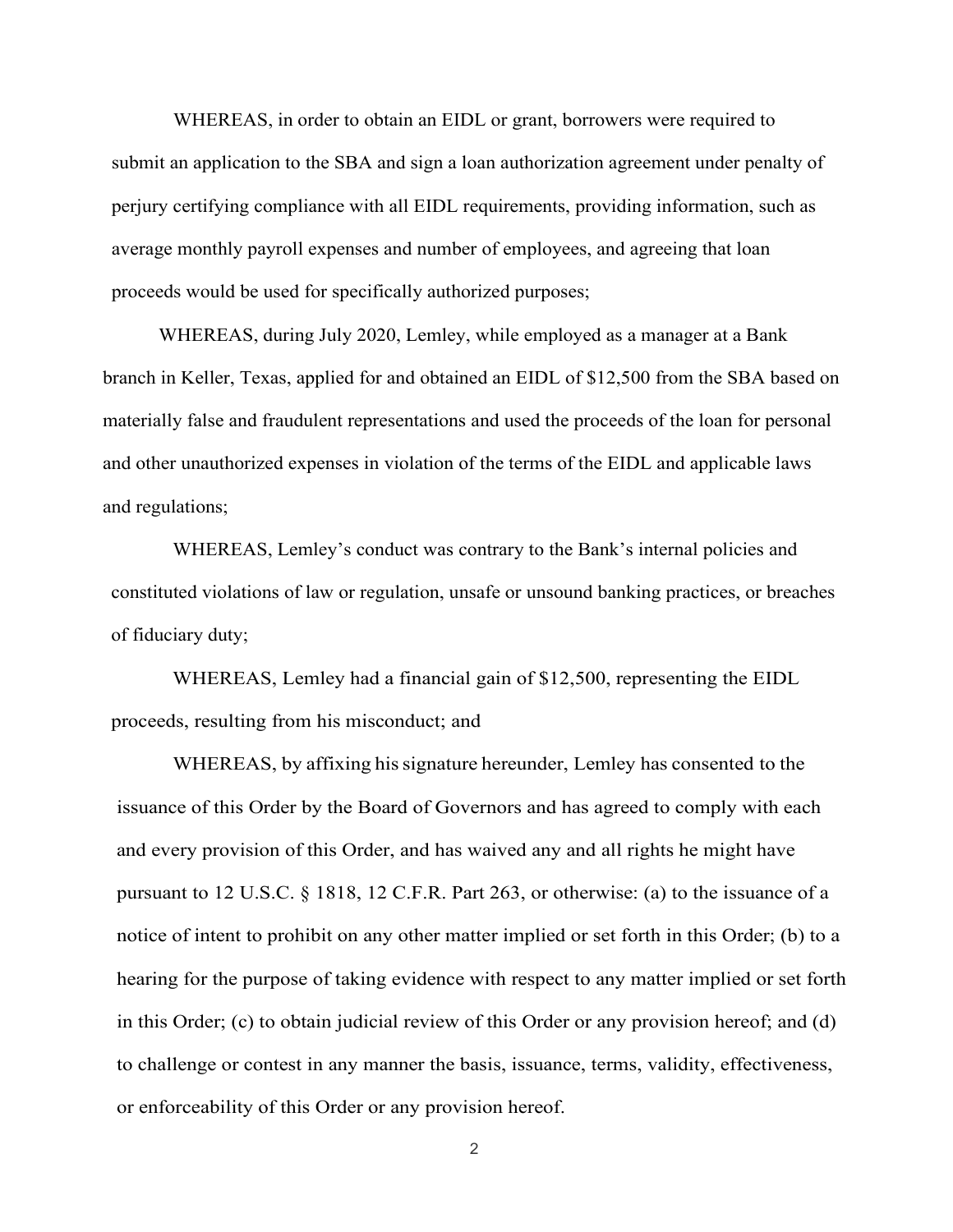WHEREAS, in order to obtain an EIDL or grant, borrowers were required to submit an application to the SBA and sign a loan authorization agreement under penalty of perjury certifying compliance with all EIDL requirements, providing information, such as average monthly payroll expenses and number of employees, and agreeing that loan proceeds would be used for specifically authorized purposes;

WHEREAS, during July 2020, Lemley, while employed as a manager at a Bank branch in Keller, Texas, applied for and obtained an EIDL of \$12,500 from the SBA based on materially false and fraudulent representations and used the proceeds of the loan for personal and other unauthorized expenses in violation of the terms of the EIDL and applicable laws and regulations;

WHEREAS, Lemley's conduct was contrary to the Bank's internal policies and constituted violations of law or regulation, unsafe or unsound banking practices, or breaches of fiduciary duty;

WHEREAS, Lemley had a financial gain of \$12,500, representing the EIDL proceeds, resulting from his misconduct; and

WHEREAS, by affixing his signature hereunder, Lemley has consented to the issuance of this Order by the Board of Governors and has agreed to comply with each and every provision of this Order, and has waived any and all rights he might have pursuant to 12 U.S.C. § 1818, 12 C.F.R. Part 263, or otherwise: (a) to the issuance of a notice of intent to prohibit on any other matter implied or set forth in this Order; (b) to a hearing for the purpose of taking evidence with respect to any matter implied or set forth in this Order; (c) to obtain judicial review of this Order or any provision hereof; and (d) to challenge or contest in any manner the basis, issuance, terms, validity, effectiveness, or enforceability of this Order or any provision hereof.

2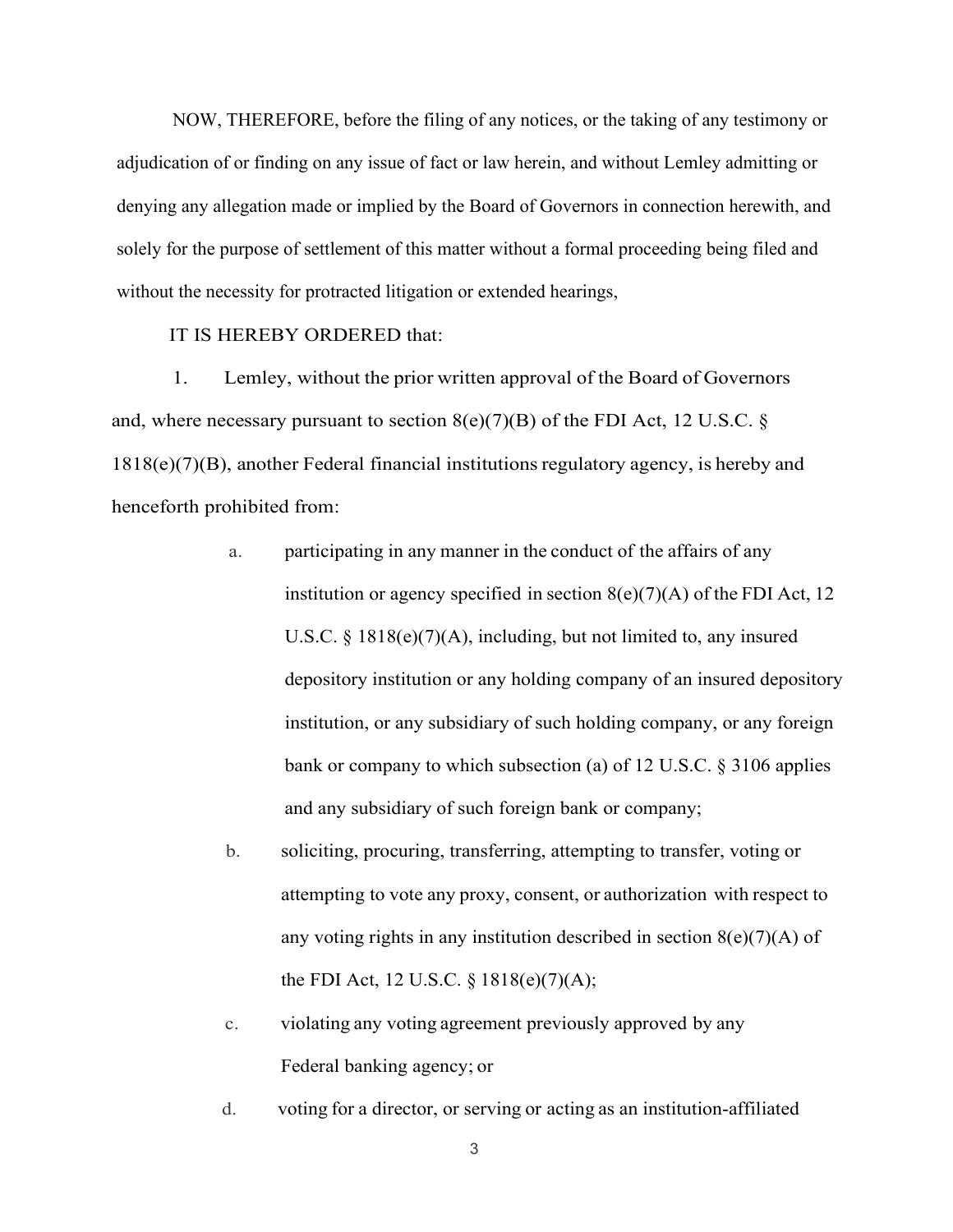NOW, THEREFORE, before the filing of any notices, or the taking of any testimony or adjudication of or finding on any issue of fact or law herein, and without Lemley admitting or denying any allegation made or implied by the Board of Governors in connection herewith, and solely for the purpose of settlement of this matter without a formal proceeding being filed and without the necessity for protracted litigation or extended hearings,

IT IS HEREBY ORDERED that:

1. Lemley, without the prior written approval of the Board of Governors and, where necessary pursuant to section  $8(e)(7)(B)$  of the FDI Act, 12 U.S.C. § 1818(e)(7)(B), another Federal financial institutions regulatory agency, is hereby and henceforth prohibited from:

- a. participating in any manner in the conduct of the affairs of any institution or agency specified in section  $8(e)(7)(A)$  of the FDI Act, 12 U.S.C. § 1818(e)(7)(A), including, but not limited to, any insured depository institution or any holding company of an insured depository institution, or any subsidiary of such holding company, or any foreign bank or company to which subsection (a) of 12 U.S.C. § 3106 applies and any subsidiary of such foreign bank or company;
- b. soliciting, procuring, transferring, attempting to transfer, voting or attempting to vote any proxy, consent, or authorization with respect to any voting rights in any institution described in section  $8(e)(7)(A)$  of the FDI Act, 12 U.S.C. § 1818(e)(7)(A);
- c. violating any voting agreement previously approved by any Federal banking agency; or
- d. voting for a director, or serving or acting as an institution-affiliated

3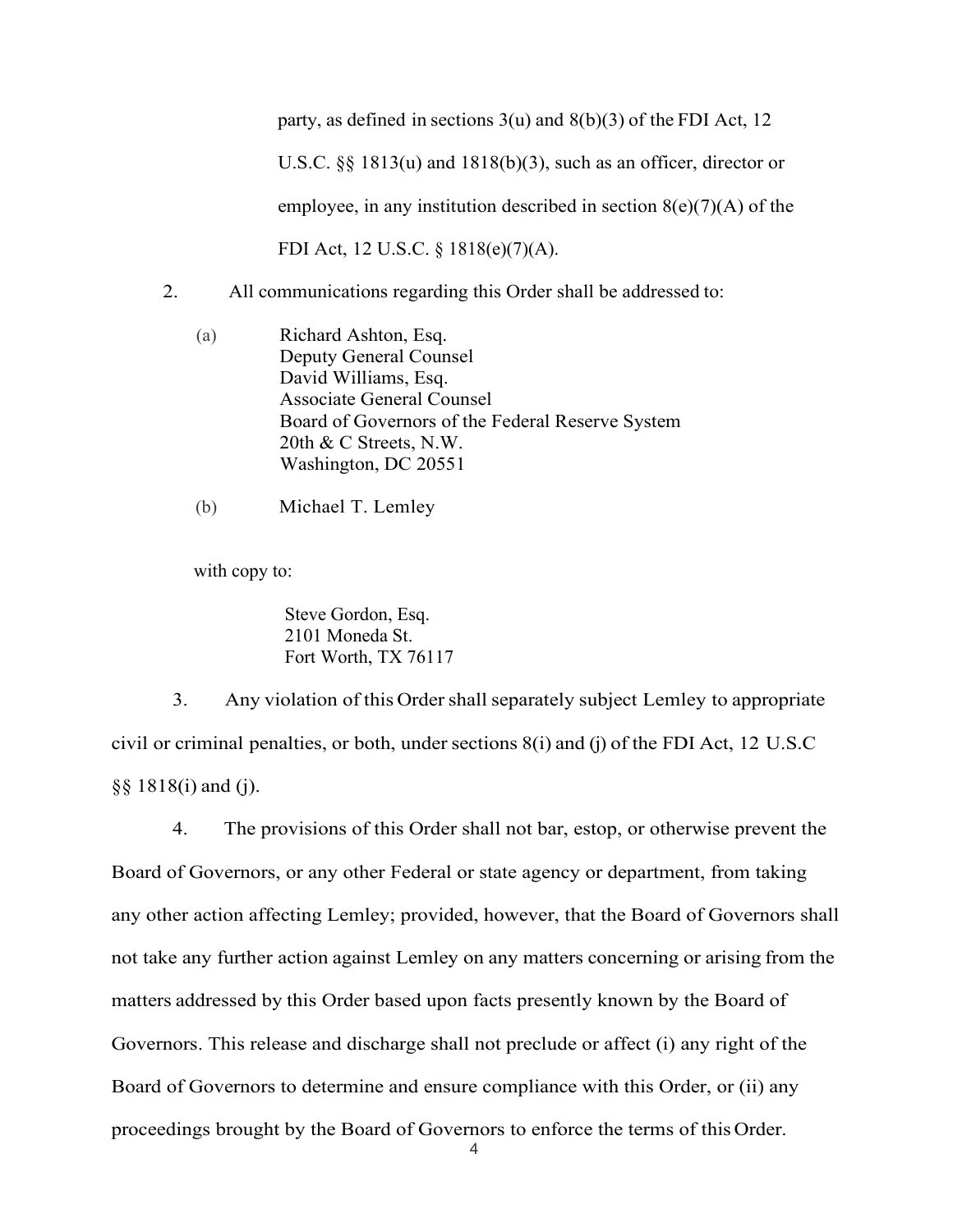party, as defined in sections 3(u) and 8(b)(3) of the FDI Act, 12 U.S.C. §§ 1813(u) and 1818(b)(3), such as an officer, director or employee, in any institution described in section  $8(e)(7)(A)$  of the FDI Act, 12 U.S.C. § 1818(e)(7)(A).

- 2. All communications regarding this Order shall be addressed to:
	- (a) Richard Ashton, Esq. Deputy General Counsel David Williams, Esq. Associate General Counsel Board of Governors of the Federal Reserve System 20th & C Streets, N.W. Washington, DC 20551
	- (b) Michael T. Lemley

with copy to:

Steve Gordon, Esq. 2101 Moneda St. Fort Worth, TX 76117

3. Any violation of this Ordershall separately subject Lemley to appropriate civil or criminal penalties, or both, under sections 8(i) and (j) of the FDI Act, 12 U.S.C §§ 1818(i) and (j).

4 4. The provisions of this Order shall not bar, estop, or otherwise prevent the Board of Governors, or any other Federal or state agency or department, from taking any other action affecting Lemley; provided, however, that the Board of Governors shall not take any further action against Lemley on any matters concerning or arising from the matters addressed by this Order based upon facts presently known by the Board of Governors. This release and discharge shall not preclude or affect (i) any right of the Board of Governors to determine and ensure compliance with this Order, or (ii) any proceedings brought by the Board of Governors to enforce the terms of this Order.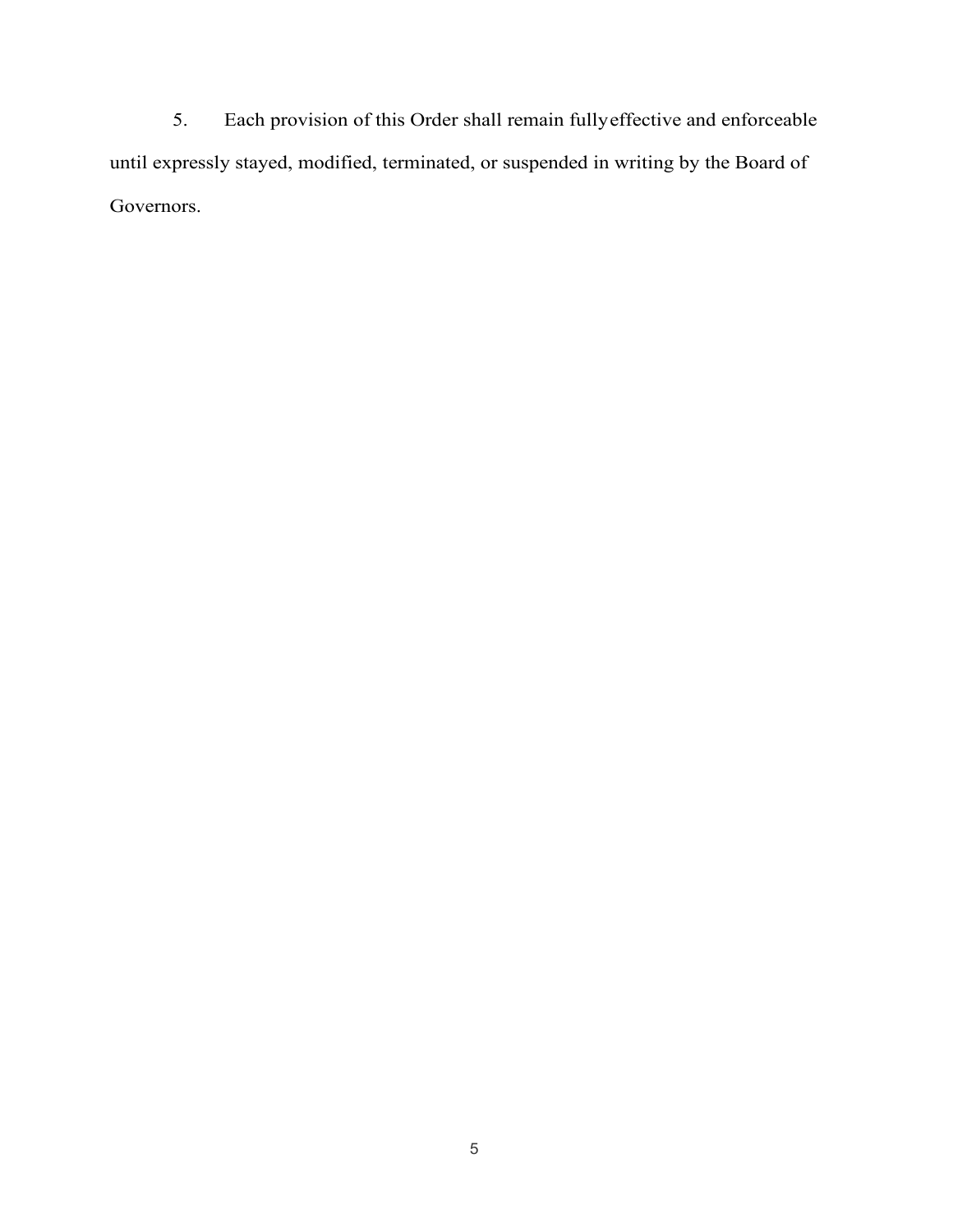5. Each provision of this Order shall remain fullyeffective and enforceable until expressly stayed, modified, terminated, or suspended in writing by the Board of Governors.